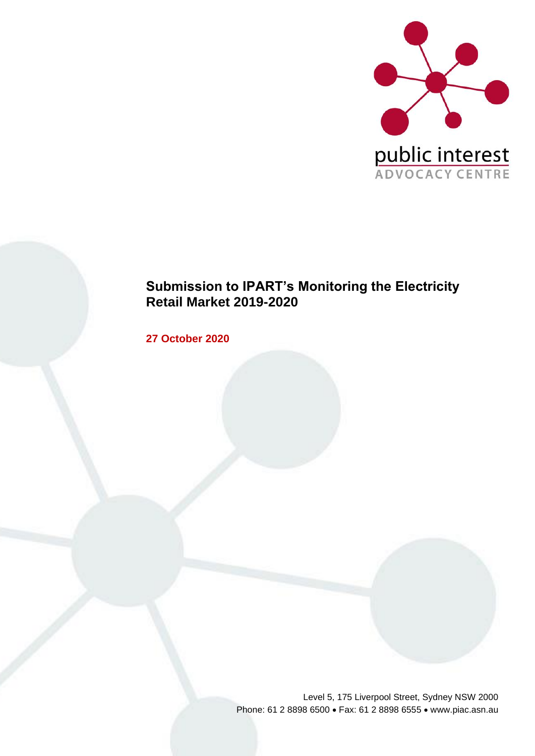

## **Submission to IPART's Monitoring the Electricity Retail Market 2019-2020**

**27 October 2020**

Level 5, 175 Liverpool Street, Sydney NSW 2000 Phone: 61 2 8898 6500 • Fax: 61 2 8898 6555 • www.piac.asn.au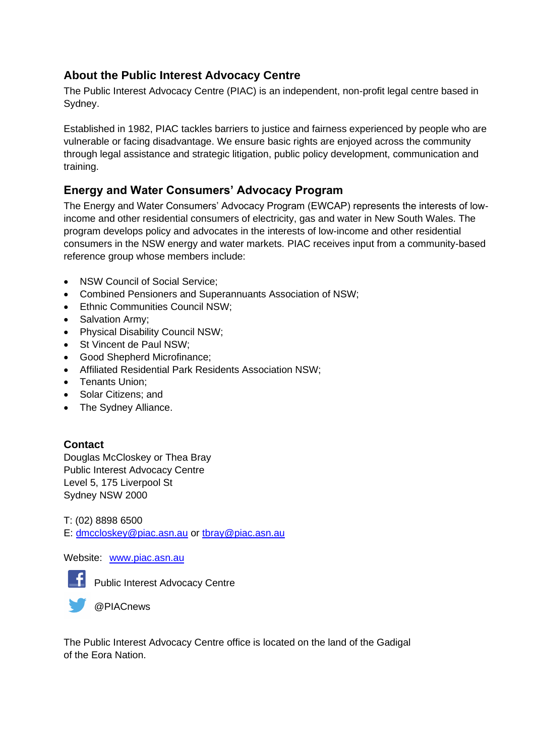## **About the Public Interest Advocacy Centre**

The Public Interest Advocacy Centre (PIAC) is an independent, non-profit legal centre based in Sydney.

Established in 1982, PIAC tackles barriers to justice and fairness experienced by people who are vulnerable or facing disadvantage. We ensure basic rights are enjoyed across the community through legal assistance and strategic litigation, public policy development, communication and training.

## **Energy and Water Consumers' Advocacy Program**

The Energy and Water Consumers' Advocacy Program (EWCAP) represents the interests of lowincome and other residential consumers of electricity, gas and water in New South Wales. The program develops policy and advocates in the interests of low-income and other residential consumers in the NSW energy and water markets. PIAC receives input from a community-based reference group whose members include:

- NSW Council of Social Service:
- Combined Pensioners and Superannuants Association of NSW;
- Ethnic Communities Council NSW;
- Salvation Army;
- Physical Disability Council NSW;
- St Vincent de Paul NSW;
- Good Shepherd Microfinance;
- Affiliated Residential Park Residents Association NSW;
- Tenants Union;
- Solar Citizens; and
- The Sydney Alliance.

## **Contact**

Douglas McCloskey or Thea Bray Public Interest Advocacy Centre Level 5, 175 Liverpool St Sydney NSW 2000

T: (02) 8898 6500 E: [dmccloskey@piac.asn.au](mailto:dmccloskey@piac.asn.au) or [tbray@piac.asn.au](mailto:tbray@piac.asn.au)

Website: [www.piac.asn.au](http://www.piac.asn.au/)



**F** Public Interest Advocacy Centre



The Public Interest Advocacy Centre office is located on the land of the Gadigal of the Eora Nation.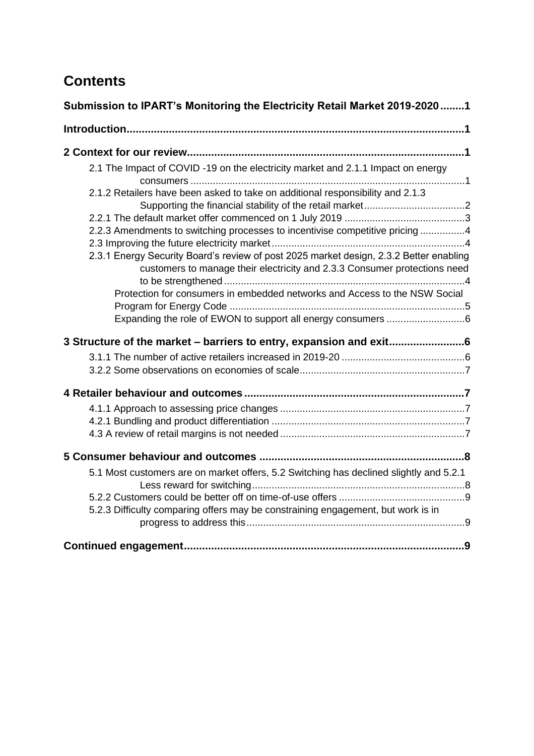# **Contents**

| Submission to IPART's Monitoring the Electricity Retail Market 2019-20201                                                                                           |
|---------------------------------------------------------------------------------------------------------------------------------------------------------------------|
|                                                                                                                                                                     |
|                                                                                                                                                                     |
| 2.1 The Impact of COVID -19 on the electricity market and 2.1.1 Impact on energy                                                                                    |
| 2.1.2 Retailers have been asked to take on additional responsibility and 2.1.3                                                                                      |
| 2.2.3 Amendments to switching processes to incentivise competitive pricing 4                                                                                        |
| 2.3.1 Energy Security Board's review of post 2025 market design, 2.3.2 Better enabling<br>customers to manage their electricity and 2.3.3 Consumer protections need |
| Protection for consumers in embedded networks and Access to the NSW Social                                                                                          |
|                                                                                                                                                                     |
| 3 Structure of the market - barriers to entry, expansion and exit6                                                                                                  |
|                                                                                                                                                                     |
|                                                                                                                                                                     |
|                                                                                                                                                                     |
|                                                                                                                                                                     |
| 5.1 Most customers are on market offers, 5.2 Switching has declined slightly and 5.2.1                                                                              |
| 5.2.3 Difficulty comparing offers may be constraining engagement, but work is in                                                                                    |
|                                                                                                                                                                     |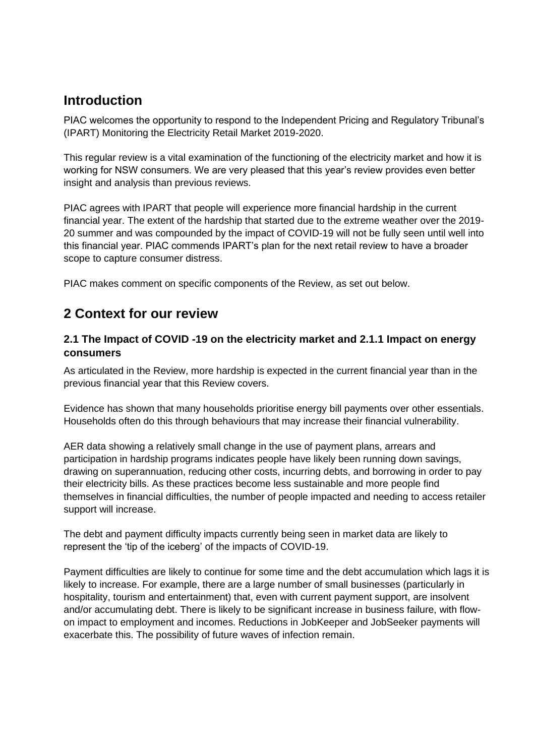## <span id="page-4-0"></span>**Introduction**

PIAC welcomes the opportunity to respond to the Independent Pricing and Regulatory Tribunal's (IPART) Monitoring the Electricity Retail Market 2019-2020.

This regular review is a vital examination of the functioning of the electricity market and how it is working for NSW consumers. We are very pleased that this year's review provides even better insight and analysis than previous reviews.

PIAC agrees with IPART that people will experience more financial hardship in the current financial year. The extent of the hardship that started due to the extreme weather over the 2019- 20 summer and was compounded by the impact of COVID-19 will not be fully seen until well into this financial year. PIAC commends IPART's plan for the next retail review to have a broader scope to capture consumer distress.

<span id="page-4-1"></span>PIAC makes comment on specific components of the Review, as set out below.

# **2 Context for our review**

## <span id="page-4-2"></span>**2.1 The Impact of COVID -19 on the electricity market and 2.1.1 Impact on energy consumers**

As articulated in the Review, more hardship is expected in the current financial year than in the previous financial year that this Review covers.

Evidence has shown that many households prioritise energy bill payments over other essentials. Households often do this through behaviours that may increase their financial vulnerability.

AER data showing a relatively small change in the use of payment plans, arrears and participation in hardship programs indicates people have likely been running down savings, drawing on superannuation, reducing other costs, incurring debts, and borrowing in order to pay their electricity bills. As these practices become less sustainable and more people find themselves in financial difficulties, the number of people impacted and needing to access retailer support will increase.

The debt and payment difficulty impacts currently being seen in market data are likely to represent the 'tip of the iceberg' of the impacts of COVID-19.

Payment difficulties are likely to continue for some time and the debt accumulation which lags it is likely to increase. For example, there are a large number of small businesses (particularly in hospitality, tourism and entertainment) that, even with current payment support, are insolvent and/or accumulating debt. There is likely to be significant increase in business failure, with flowon impact to employment and incomes. Reductions in JobKeeper and JobSeeker payments will exacerbate this. The possibility of future waves of infection remain.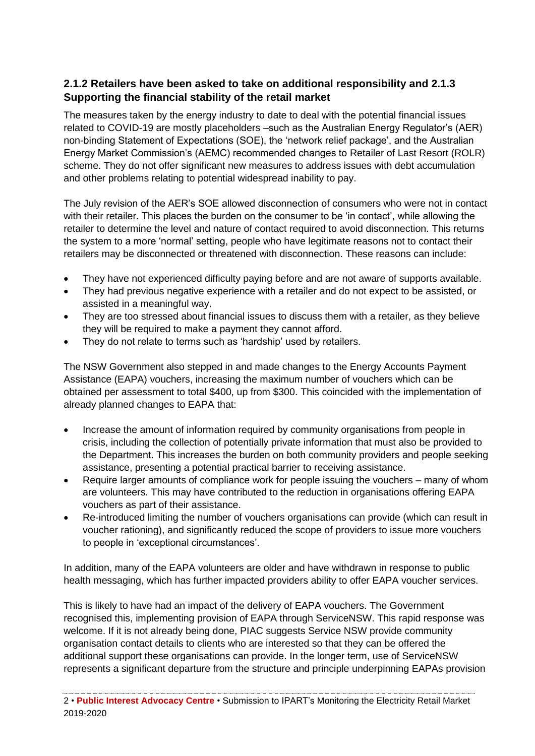## <span id="page-5-0"></span>**2.1.2 Retailers have been asked to take on additional responsibility and 2.1.3 Supporting the financial stability of the retail market**

The measures taken by the energy industry to date to deal with the potential financial issues related to COVID-19 are mostly placeholders –such as the Australian Energy Regulator's (AER) non-binding Statement of Expectations (SOE), the 'network relief package', and the Australian Energy Market Commission's (AEMC) recommended changes to Retailer of Last Resort (ROLR) scheme. They do not offer significant new measures to address issues with debt accumulation and other problems relating to potential widespread inability to pay.

The July revision of the AER's SOE allowed disconnection of consumers who were not in contact with their retailer. This places the burden on the consumer to be 'in contact', while allowing the retailer to determine the level and nature of contact required to avoid disconnection. This returns the system to a more 'normal' setting, people who have legitimate reasons not to contact their retailers may be disconnected or threatened with disconnection. These reasons can include:

- They have not experienced difficulty paying before and are not aware of supports available.
- They had previous negative experience with a retailer and do not expect to be assisted, or assisted in a meaningful way.
- They are too stressed about financial issues to discuss them with a retailer, as they believe they will be required to make a payment they cannot afford.
- They do not relate to terms such as 'hardship' used by retailers.

The NSW Government also stepped in and made changes to the Energy Accounts Payment Assistance (EAPA) vouchers, increasing the maximum number of vouchers which can be obtained per assessment to total \$400, up from \$300. This coincided with the implementation of already planned changes to EAPA that:

- Increase the amount of information required by community organisations from people in crisis, including the collection of potentially private information that must also be provided to the Department. This increases the burden on both community providers and people seeking assistance, presenting a potential practical barrier to receiving assistance.
- Require larger amounts of compliance work for people issuing the vouchers many of whom are volunteers. This may have contributed to the reduction in organisations offering EAPA vouchers as part of their assistance.
- Re-introduced limiting the number of vouchers organisations can provide (which can result in voucher rationing), and significantly reduced the scope of providers to issue more vouchers to people in 'exceptional circumstances'.

In addition, many of the EAPA volunteers are older and have withdrawn in response to public health messaging, which has further impacted providers ability to offer EAPA voucher services.

This is likely to have had an impact of the delivery of EAPA vouchers. The Government recognised this, implementing provision of EAPA through ServiceNSW. This rapid response was welcome. If it is not already being done, PIAC suggests Service NSW provide community organisation contact details to clients who are interested so that they can be offered the additional support these organisations can provide. In the longer term, use of ServiceNSW represents a significant departure from the structure and principle underpinning EAPAs provision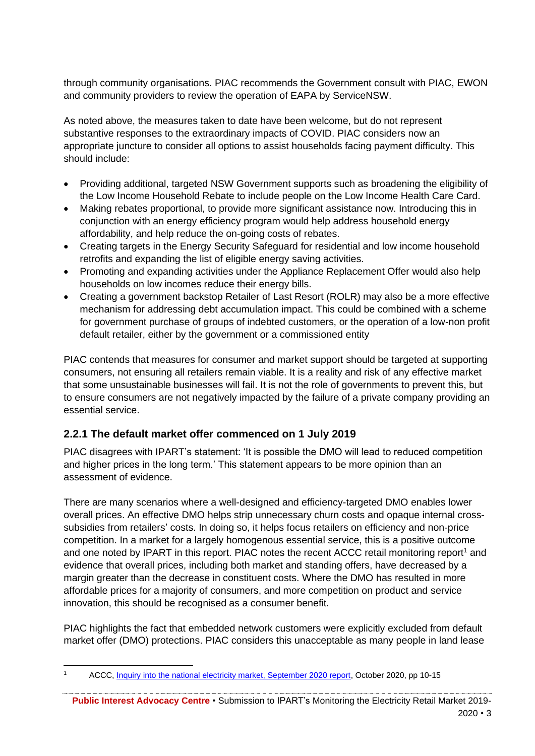through community organisations. PIAC recommends the Government consult with PIAC, EWON and community providers to review the operation of EAPA by ServiceNSW.

As noted above, the measures taken to date have been welcome, but do not represent substantive responses to the extraordinary impacts of COVID. PIAC considers now an appropriate juncture to consider all options to assist households facing payment difficulty. This should include:

- Providing additional, targeted NSW Government supports such as broadening the eligibility of the Low Income Household Rebate to include people on the Low Income Health Care Card.
- Making rebates proportional, to provide more significant assistance now. Introducing this in conjunction with an energy efficiency program would help address household energy affordability, and help reduce the on-going costs of rebates.
- Creating targets in the Energy Security Safeguard for residential and low income household retrofits and expanding the list of eligible energy saving activities.
- Promoting and expanding activities under the Appliance Replacement Offer would also help households on low incomes reduce their energy bills.
- Creating a government backstop Retailer of Last Resort (ROLR) may also be a more effective mechanism for addressing debt accumulation impact. This could be combined with a scheme for government purchase of groups of indebted customers, or the operation of a low-non profit default retailer, either by the government or a commissioned entity

PIAC contends that measures for consumer and market support should be targeted at supporting consumers, not ensuring all retailers remain viable. It is a reality and risk of any effective market that some unsustainable businesses will fail. It is not the role of governments to prevent this, but to ensure consumers are not negatively impacted by the failure of a private company providing an essential service.

## <span id="page-6-0"></span>**2.2.1 The default market offer commenced on 1 July 2019**

PIAC disagrees with IPART's statement: 'It is possible the DMO will lead to reduced competition and higher prices in the long term.' This statement appears to be more opinion than an assessment of evidence.

There are many scenarios where a well-designed and efficiency-targeted DMO enables lower overall prices. An effective DMO helps strip unnecessary churn costs and opaque internal crosssubsidies from retailers' costs. In doing so, it helps focus retailers on efficiency and non-price competition. In a market for a largely homogenous essential service, this is a positive outcome and one noted by IPART in this report. PIAC notes the recent ACCC retail monitoring report<sup>1</sup> and evidence that overall prices, including both market and standing offers, have decreased by a margin greater than the decrease in constituent costs. Where the DMO has resulted in more affordable prices for a majority of consumers, and more competition on product and service innovation, this should be recognised as a consumer benefit.

PIAC highlights the fact that embedded network customers were explicitly excluded from default market offer (DMO) protections. PIAC considers this unacceptable as many people in land lease

**Public Interest Advocacy Centre** • Submission to IPART's Monitoring the Electricity Retail Market 2019-

<sup>1</sup> ACCC, [Inquiry into the national electricity market, September 2020 report,](https://www.accc.gov.au/system/files/Inquiry%20into%20the%20National%20Electricity%20Market%20-%20September%202020%20report.pdf) October 2020, pp 10-15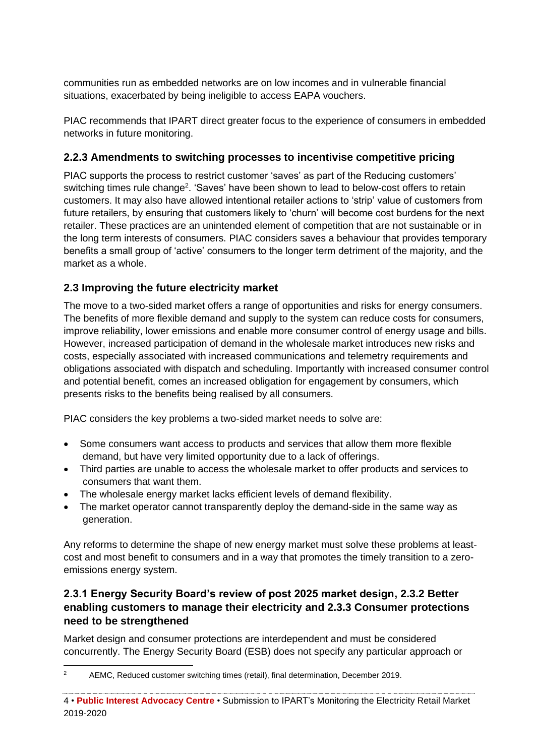communities run as embedded networks are on low incomes and in vulnerable financial situations, exacerbated by being ineligible to access EAPA vouchers.

PIAC recommends that IPART direct greater focus to the experience of consumers in embedded networks in future monitoring.

## <span id="page-7-0"></span>**2.2.3 Amendments to switching processes to incentivise competitive pricing**

PIAC supports the process to restrict customer 'saves' as part of the Reducing customers' switching times rule change<sup>2</sup>. 'Saves' have been shown to lead to below-cost offers to retain customers. It may also have allowed intentional retailer actions to 'strip' value of customers from future retailers, by ensuring that customers likely to 'churn' will become cost burdens for the next retailer. These practices are an unintended element of competition that are not sustainable or in the long term interests of consumers. PIAC considers saves a behaviour that provides temporary benefits a small group of 'active' consumers to the longer term detriment of the majority, and the market as a whole.

## <span id="page-7-1"></span>**2.3 Improving the future electricity market**

The move to a two-sided market offers a range of opportunities and risks for energy consumers. The benefits of more flexible demand and supply to the system can reduce costs for consumers, improve reliability, lower emissions and enable more consumer control of energy usage and bills. However, increased participation of demand in the wholesale market introduces new risks and costs, especially associated with increased communications and telemetry requirements and obligations associated with dispatch and scheduling. Importantly with increased consumer control and potential benefit, comes an increased obligation for engagement by consumers, which presents risks to the benefits being realised by all consumers.

PIAC considers the key problems a two-sided market needs to solve are:

- Some consumers want access to products and services that allow them more flexible demand, but have very limited opportunity due to a lack of offerings.
- Third parties are unable to access the wholesale market to offer products and services to consumers that want them.
- The wholesale energy market lacks efficient levels of demand flexibility.
- The market operator cannot transparently deploy the demand-side in the same way as generation.

Any reforms to determine the shape of new energy market must solve these problems at leastcost and most benefit to consumers and in a way that promotes the timely transition to a zeroemissions energy system.

## <span id="page-7-2"></span>**2.3.1 Energy Security Board's review of post 2025 market design, 2.3.2 Better enabling customers to manage their electricity and 2.3.3 Consumer protections need to be strengthened**

Market design and consumer protections are interdependent and must be considered concurrently. The Energy Security Board (ESB) does not specify any particular approach or

<sup>&</sup>lt;sup>2</sup> AEMC, Reduced customer switching times (retail), final determination, December 2019.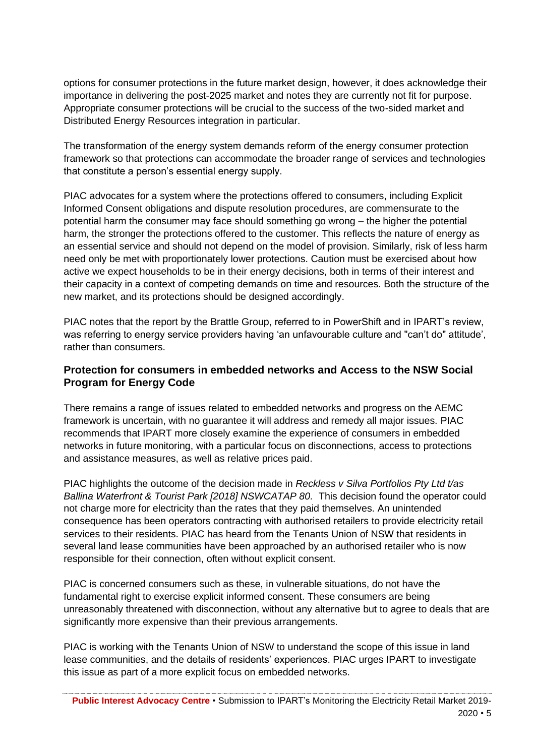options for consumer protections in the future market design, however, it does acknowledge their importance in delivering the post-2025 market and notes they are currently not fit for purpose. Appropriate consumer protections will be crucial to the success of the two-sided market and Distributed Energy Resources integration in particular.

The transformation of the energy system demands reform of the energy consumer protection framework so that protections can accommodate the broader range of services and technologies that constitute a person's essential energy supply.

PIAC advocates for a system where the protections offered to consumers, including Explicit Informed Consent obligations and dispute resolution procedures, are commensurate to the potential harm the consumer may face should something go wrong – the higher the potential harm, the stronger the protections offered to the customer. This reflects the nature of energy as an essential service and should not depend on the model of provision. Similarly, risk of less harm need only be met with proportionately lower protections. Caution must be exercised about how active we expect households to be in their energy decisions, both in terms of their interest and their capacity in a context of competing demands on time and resources. Both the structure of the new market, and its protections should be designed accordingly.

PIAC notes that the report by the Brattle Group, referred to in PowerShift and in IPART's review, was referring to energy service providers having 'an unfavourable culture and "can't do" attitude', rather than consumers.

## <span id="page-8-0"></span>**Protection for consumers in embedded networks and Access to the NSW Social Program for Energy Code**

There remains a range of issues related to embedded networks and progress on the AEMC framework is uncertain, with no guarantee it will address and remedy all major issues. PIAC recommends that IPART more closely examine the experience of consumers in embedded networks in future monitoring, with a particular focus on disconnections, access to protections and assistance measures, as well as relative prices paid.

PIAC highlights the outcome of the decision made in *Reckless v Silva Portfolios Pty Ltd t/as Ballina Waterfront & Tourist Park [2018] NSWCATAP 80.* This decision found the operator could not charge more for electricity than the rates that they paid themselves. An unintended consequence has been operators contracting with authorised retailers to provide electricity retail services to their residents. PIAC has heard from the Tenants Union of NSW that residents in several land lease communities have been approached by an authorised retailer who is now responsible for their connection, often without explicit consent.

PIAC is concerned consumers such as these, in vulnerable situations, do not have the fundamental right to exercise explicit informed consent. These consumers are being unreasonably threatened with disconnection, without any alternative but to agree to deals that are significantly more expensive than their previous arrangements.

PIAC is working with the Tenants Union of NSW to understand the scope of this issue in land lease communities, and the details of residents' experiences. PIAC urges IPART to investigate this issue as part of a more explicit focus on embedded networks.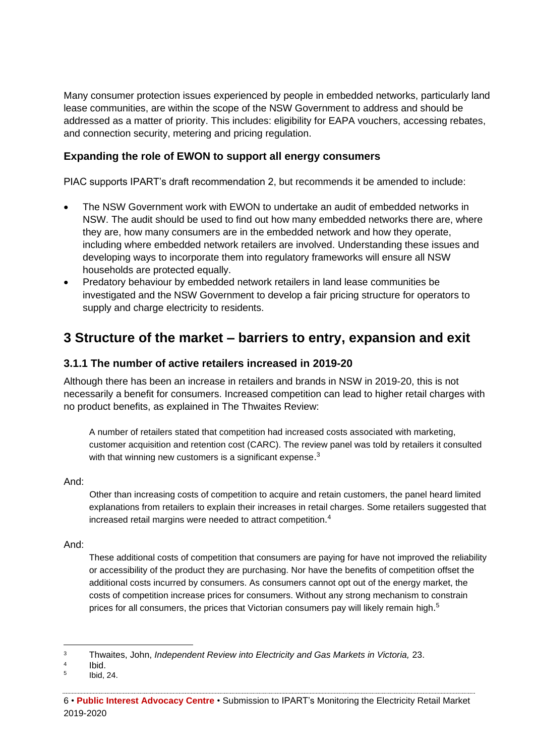Many consumer protection issues experienced by people in embedded networks, particularly land lease communities, are within the scope of the NSW Government to address and should be addressed as a matter of priority. This includes: eligibility for EAPA vouchers, accessing rebates, and connection security, metering and pricing regulation.

### <span id="page-9-0"></span>**Expanding the role of EWON to support all energy consumers**

PIAC supports IPART's draft recommendation 2, but recommends it be amended to include:

- The NSW Government work with EWON to undertake an audit of embedded networks in NSW. The audit should be used to find out how many embedded networks there are, where they are, how many consumers are in the embedded network and how they operate, including where embedded network retailers are involved. Understanding these issues and developing ways to incorporate them into regulatory frameworks will ensure all NSW households are protected equally.
- Predatory behaviour by embedded network retailers in land lease communities be investigated and the NSW Government to develop a fair pricing structure for operators to supply and charge electricity to residents.

## <span id="page-9-1"></span>**3 Structure of the market – barriers to entry, expansion and exit**

### <span id="page-9-2"></span>**3.1.1 The number of active retailers increased in 2019-20**

Although there has been an increase in retailers and brands in NSW in 2019-20, this is not necessarily a benefit for consumers. Increased competition can lead to higher retail charges with no product benefits, as explained in The Thwaites Review:

A number of retailers stated that competition had increased costs associated with marketing, customer acquisition and retention cost (CARC). The review panel was told by retailers it consulted with that winning new customers is a significant expense.<sup>3</sup>

#### And:

Other than increasing costs of competition to acquire and retain customers, the panel heard limited explanations from retailers to explain their increases in retail charges. Some retailers suggested that increased retail margins were needed to attract competition.<sup>4</sup>

#### And:

These additional costs of competition that consumers are paying for have not improved the reliability or accessibility of the product they are purchasing. Nor have the benefits of competition offset the additional costs incurred by consumers. As consumers cannot opt out of the energy market, the costs of competition increase prices for consumers. Without any strong mechanism to constrain prices for all consumers, the prices that Victorian consumers pay will likely remain high.<sup>5</sup>

<sup>3</sup> Thwaites, John, *Independent Review into Electricity and Gas Markets in Victoria,* 23.

<sup>4</sup> Ibid.

<sup>5</sup> Ibid, 24.

<sup>6</sup> • **Public Interest Advocacy Centre** • Submission to IPART's Monitoring the Electricity Retail Market 2019-2020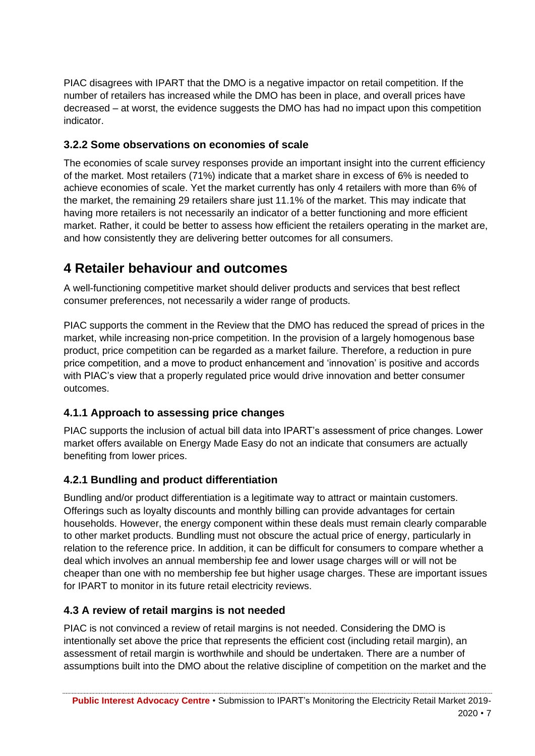PIAC disagrees with IPART that the DMO is a negative impactor on retail competition. If the number of retailers has increased while the DMO has been in place, and overall prices have decreased – at worst, the evidence suggests the DMO has had no impact upon this competition indicator.

## <span id="page-10-0"></span>**3.2.2 Some observations on economies of scale**

The economies of scale survey responses provide an important insight into the current efficiency of the market. Most retailers (71%) indicate that a market share in excess of 6% is needed to achieve economies of scale. Yet the market currently has only 4 retailers with more than 6% of the market, the remaining 29 retailers share just 11.1% of the market. This may indicate that having more retailers is not necessarily an indicator of a better functioning and more efficient market. Rather, it could be better to assess how efficient the retailers operating in the market are, and how consistently they are delivering better outcomes for all consumers.

# <span id="page-10-1"></span>**4 Retailer behaviour and outcomes**

A well-functioning competitive market should deliver products and services that best reflect consumer preferences, not necessarily a wider range of products.

PIAC supports the comment in the Review that the DMO has reduced the spread of prices in the market, while increasing non-price competition. In the provision of a largely homogenous base product, price competition can be regarded as a market failure. Therefore, a reduction in pure price competition, and a move to product enhancement and 'innovation' is positive and accords with PIAC's view that a properly regulated price would drive innovation and better consumer outcomes.

## <span id="page-10-2"></span>**4.1.1 Approach to assessing price changes**

PIAC supports the inclusion of actual bill data into IPART's assessment of price changes. Lower market offers available on Energy Made Easy do not an indicate that consumers are actually benefiting from lower prices.

## <span id="page-10-3"></span>**4.2.1 Bundling and product differentiation**

Bundling and/or product differentiation is a legitimate way to attract or maintain customers. Offerings such as loyalty discounts and monthly billing can provide advantages for certain households. However, the energy component within these deals must remain clearly comparable to other market products. Bundling must not obscure the actual price of energy, particularly in relation to the reference price. In addition, it can be difficult for consumers to compare whether a deal which involves an annual membership fee and lower usage charges will or will not be cheaper than one with no membership fee but higher usage charges. These are important issues for IPART to monitor in its future retail electricity reviews.

## <span id="page-10-4"></span>**4.3 A review of retail margins is not needed**

PIAC is not convinced a review of retail margins is not needed. Considering the DMO is intentionally set above the price that represents the efficient cost (including retail margin), an assessment of retail margin is worthwhile and should be undertaken. There are a number of assumptions built into the DMO about the relative discipline of competition on the market and the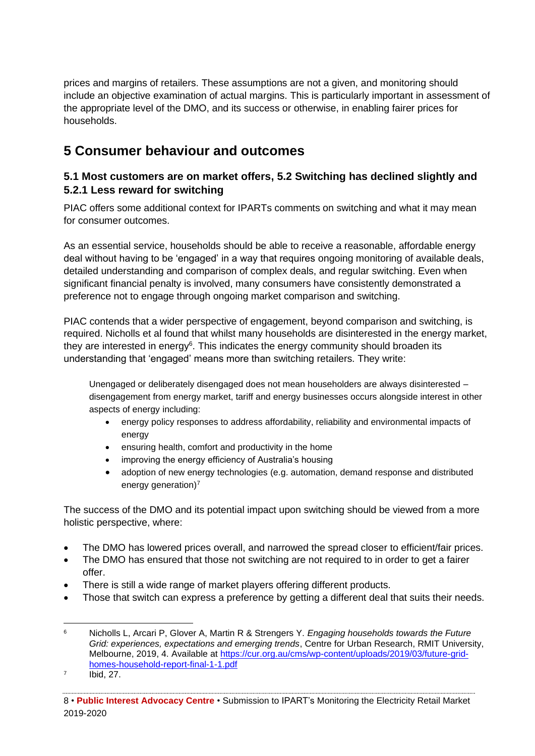prices and margins of retailers. These assumptions are not a given, and monitoring should include an objective examination of actual margins. This is particularly important in assessment of the appropriate level of the DMO, and its success or otherwise, in enabling fairer prices for households.

# <span id="page-11-0"></span>**5 Consumer behaviour and outcomes**

## <span id="page-11-1"></span>**5.1 Most customers are on market offers, 5.2 Switching has declined slightly and 5.2.1 Less reward for switching**

PIAC offers some additional context for IPARTs comments on switching and what it may mean for consumer outcomes.

As an essential service, households should be able to receive a reasonable, affordable energy deal without having to be 'engaged' in a way that requires ongoing monitoring of available deals, detailed understanding and comparison of complex deals, and regular switching. Even when significant financial penalty is involved, many consumers have consistently demonstrated a preference not to engage through ongoing market comparison and switching.

PIAC contends that a wider perspective of engagement, beyond comparison and switching, is required. Nicholls et al found that whilst many households are disinterested in the energy market, they are interested in energy<sup>6</sup>. This indicates the energy community should broaden its understanding that 'engaged' means more than switching retailers. They write:

Unengaged or deliberately disengaged does not mean householders are always disinterested – disengagement from energy market, tariff and energy businesses occurs alongside interest in other aspects of energy including:

- energy policy responses to address affordability, reliability and environmental impacts of energy
- ensuring health, comfort and productivity in the home
- improving the energy efficiency of Australia's housing
- adoption of new energy technologies (e.g. automation, demand response and distributed energy generation)<sup>7</sup>

The success of the DMO and its potential impact upon switching should be viewed from a more holistic perspective, where:

- The DMO has lowered prices overall, and narrowed the spread closer to efficient/fair prices.
- The DMO has ensured that those not switching are not required to in order to get a fairer offer.
- There is still a wide range of market players offering different products.
- Those that switch can express a preference by getting a different deal that suits their needs.

<sup>6</sup> Nicholls L, Arcari P, Glover A, Martin R & Strengers Y. *Engaging households towards the Future Grid: experiences, expectations and emerging trends*, Centre for Urban Research, RMIT University, Melbourne, 2019, 4. Available at [https://cur.org.au/cms/wp-content/uploads/2019/03/future-grid](https://cur.org.au/cms/wp-content/uploads/2019/03/future-grid-homes-household-report-final-1-1.pdf)[homes-household-report-final-1-1.pdf](https://cur.org.au/cms/wp-content/uploads/2019/03/future-grid-homes-household-report-final-1-1.pdf)

<sup>7</sup> Ibid, 27.

<sup>8</sup> • **Public Interest Advocacy Centre** • Submission to IPART's Monitoring the Electricity Retail Market 2019-2020